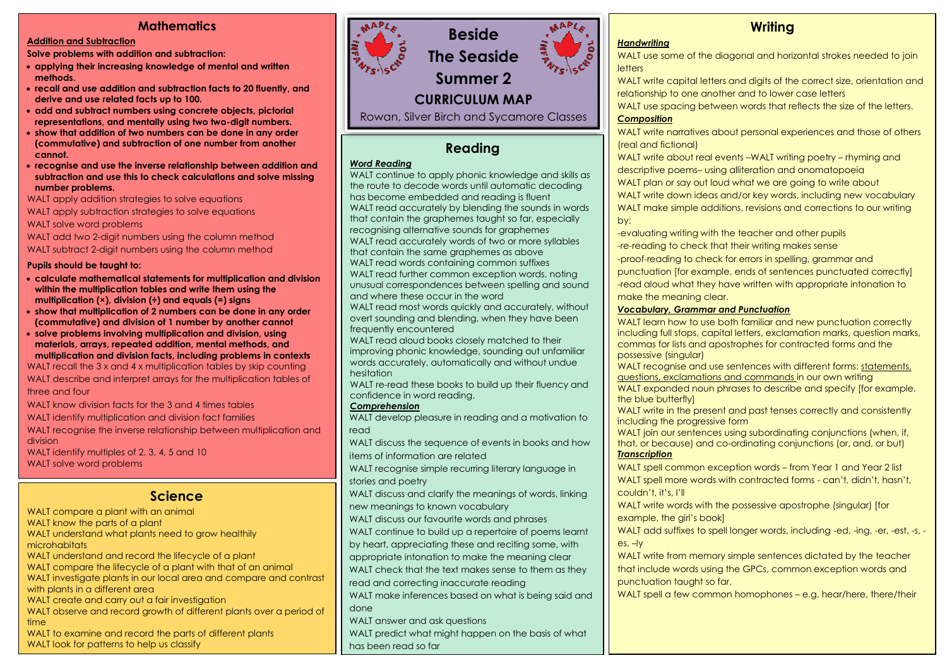### **Mathematics**

#### **Addition and Subtraction**

**Solve problems with addition and subtraction:**

- **applying their increasing knowledge of mental and written methods.**
- **recall and use addition and subtraction facts to 20 fluently, and derive and use related facts up to 100.**
- **add and subtract numbers using concrete objects, pictorial representations, and mentally using two two-digit numbers.**
- **show that addition of two numbers can be done in any order (commutative) and subtraction of one number from another cannot.**
- **recognise and use the inverse relationship between addition and subtraction and use this to check calculations and solve missing number problems.**

WALT apply addition strategies to solve equations

WALT apply subtraction strategies to solve equations WALT solve word problems

WALT add two 2-digit numbers using the column method WALT subtract 2-digit numbers using the column method

#### **Pupils should be taught to:**

- **calculate mathematical statements for multiplication and division within the multiplication tables and write them using the multiplication (×), division (÷) and equals (=) signs**
- **show that multiplication of 2 numbers can be done in any order (commutative) and division of 1 number by another cannot**
- **solve problems involving multiplication and division, using materials, arrays, repeated addition, mental methods, and multiplication and division facts, including problems in contexts**

WALT recall the 3 x and 4 x multiplication tables by skip counting WALT describe and interpret arrays for the multiplication tables of three and four

WALT know division facts for the 3 and 4 times tables

WALT identify multiplication and division fact families

WALT recognise the inverse relationship between multiplication and division

WALT identify multiples of 2, 3, 4, 5 and 10 WALT solve word problems

### **Science**

WALT compare a plant with an animal

WALT know the parts of a plant

WALT understand what plants need to grow healthily microhabitats

- WALT understand and record the lifecycle of a plant
- WALT compare the lifecycle of a plant with that of an animal

WALT investigate plants in our local area and compare and contrast with plants in a different area

WALT create and carry out a fair investigation

WALT observe and record growth of different plants over a period of time

WALT to examine and record the parts of different plants WALT look for patterns to help us classify



# **Beside The Seaside Summer 2**

## **CURRICULUM MAP**

Rowan, Silver Birch and Sycamore Classes

# **Reading**

#### *Word Reading*

WALT continue to apply phonic knowledge and skills as the route to decode words until automatic decoding has become embedded and reading is fluent WALT read accurately by blending the sounds in words that contain the graphemes taught so far, especially recognising alternative sounds for graphemes WALT read accurately words of two or more syllables that contain the same graphemes as above

WALT read words containing common suffixes WALT read further common exception words, noting unusual correspondences between spelling and sound and where these occur in the word

WALT read most words quickly and accurately, without overt sounding and blending, when they have been frequently encountered

WALT read aloud books closely matched to their improving phonic knowledge, sounding out unfamiliar words accurately, automatically and without undue hesitation

WALT re-read these books to build up their fluency and confidence in word reading.

#### *Comprehension*

WALT develop pleasure in reading and a motivation to read

WALT discuss the sequence of events in books and how items of information are related

WALT recognise simple recurring literary language in stories and poetry

WALT discuss and clarify the meanings of words, linking new meanings to known vocabulary

WALT discuss our favourite words and phrases

WALT continue to build up a repertoire of poems learnt

by heart, appreciating these and reciting some, with

appropriate intonation to make the meaning clear

WALT check that the text makes sense to them as they

read and correcting inaccurate reading

WALT make inferences based on what is being said and done

WALT answer and ask questions

WALT predict what might happen on the basis of what has been read so far

# **Writing**

#### *Handwriting*

WALT use some of the diagonal and horizontal strokes needed to join letters

WALT write capital letters and digits of the correct size, orientation and relationship to one another and to lower case letters

WALT use spacing between words that reflects the size of the letters.

#### *Composition*

WALT write narratives about personal experiences and those of others (real and fictional)

WALT write about real events –WALT writing poetry – rhyming and descriptive poems– using alliteration and onomatopoeia

WALT plan or say out loud what we are going to write about WALT write down ideas and/or key words, including new vocabulary WALT make simple additions, revisions and corrections to our writing by:

-evaluating writing with the teacher and other pupils -re-reading to check that their writing makes sense -proof-reading to check for errors in spelling, grammar and punctuation [for example, ends of sentences punctuated correctly] -read aloud what they have written with appropriate intonation to make the meaning clear.

#### *Vocabulary, Grammar and Punctuation*

WALT learn how to use both familiar and new punctuation correctly including full stops, capital letters, exclamation marks, question marks, commas for lists and apostrophes for contracted forms and the possessive (singular)

WALT recognise and use sentences with different forms: statements, questions, exclamations and commands in our own writing

WALT expanded noun phrases to describe and specify [for example, the blue butterfly]

WALT write in the present and past tenses correctly and consistently including the progressive form

WALT join our sentences using subordinating conjunctions (when, if, that, or because) and co-ordinating conjunctions (or, and, or but) *Transcription*

WALT spell common exception words – from Year 1 and Year 2 list WALT spell more words with contracted forms - can't, didn't, hasn't, couldn't, it's, I'll

WALT write words with the possessive apostrophe (singular) [for example, the girl's book]

WALT add suffixes to spell longer words, including -ed, -ing. -er, -est, -s, es, –ly

WALT write from memory simple sentences dictated by the teacher that include words using the GPCs, common exception words and punctuation taught so far.

WALT spell a few common homophones – e.g. hear/here, there/their